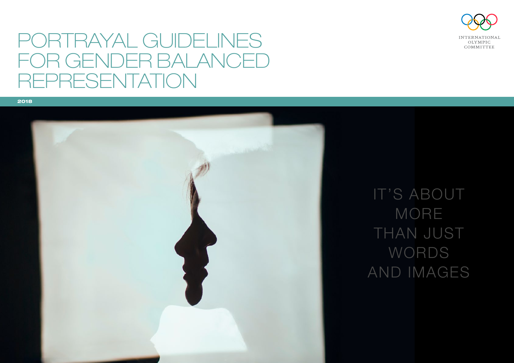

# PORTRAYAL GUIDELINES FOR GENDER BALANCED REPRESENTATION



IT'S ABOUT MORE THAN JUST WORDS AND IMAGES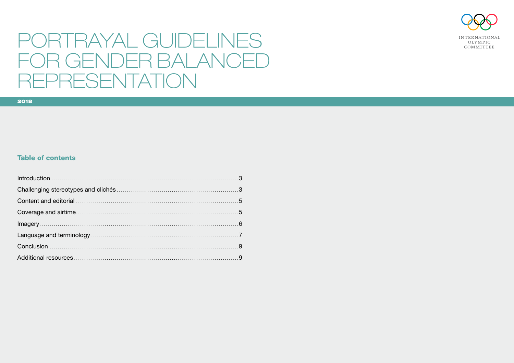

# PORTRAYAL GUIDELINES FOR GENDER BALANCED REPRESENTATION

#### **Table of contents**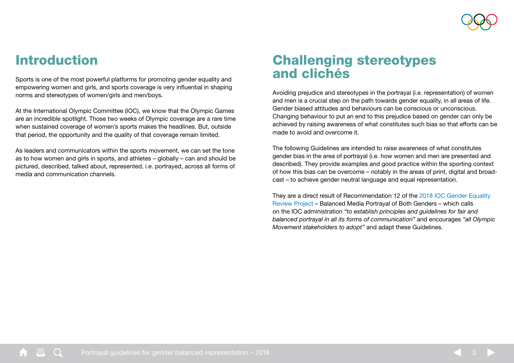

### <span id="page-2-0"></span>Introduction

Sports is one of the most powerful platforms for promoting gender equality and empowering women and girls, and sports coverage is very influential in shaping norms and stereotypes of women/girls and men/boys.

At the International Olympic Committee (IOC), we know that the Olympic Games are an incredible spotlight. Those two weeks of Olympic coverage are a rare time when sustained coverage of women's sports makes the headlines. But, outside that period, the opportunity and the quality of that coverage remain limited.

As leaders and communicators within the sports movement, we can set the tone as to how women and girls in sports, and athletes – globally – can and should be pictured, described, talked about, represented, i.e. portrayed, across all forms of media and communication channels.

### <span id="page-2-1"></span>Challenging stereotypes and clichés

Avoiding prejudice and stereotypes in the portrayal (i.e. representation) of women and men is a crucial step on the path towards gender equality, in all areas of life. Gender biased attitudes and behaviours can be conscious or unconscious. Changing behaviour to put an end to this prejudice based on gender can only be achieved by raising awareness of what constitutes such bias so that efforts can be made to avoid and overcome it.

The following Guidelines are intended to raise awareness of what constitutes gender bias in the area of portrayal (i.e. how women and men are presented and described). They provide examples and good practice within the sporting context of how this bias can be overcome – notably in the areas of print, digital and broadcast – to achieve gender neutral language and equal representation.

They are a direct result of Recommendation 12 of the [2018 IOC Gender Equality](https://stillmed.olympic.org/media/Document%20Library/OlympicOrg/News/2018/03/IOC-Gender-Equality-Report-March-2018.pdf#_ga=2.176036834.1316924322.1530536825-1584169185.1502791100)  [Review Project](https://stillmed.olympic.org/media/Document%20Library/OlympicOrg/News/2018/03/IOC-Gender-Equality-Report-March-2018.pdf#_ga=2.176036834.1316924322.1530536825-1584169185.1502791100) – Balanced Media Portrayal of Both Genders – which calls on the IOC administration *"to establish principles and guidelines for fair and balanced portrayal in all its forms of communication"* and encourages *"all Olympic Movement stakeholders to adopt"* and adapt these Guidelines.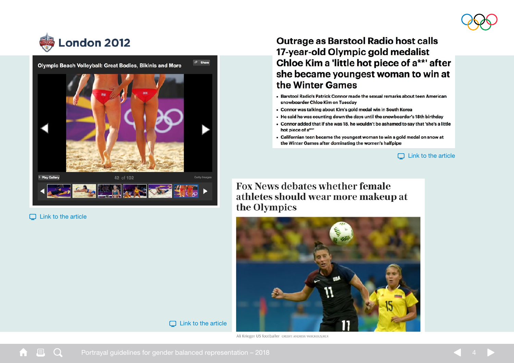





#### $\Box$  [Link to the article](https://www.nbcnewyork.com/news/sports/Best-of-Beach-Volleyball--158887655.html)

### **Outrage as Barstool Radio host calls** 17-year-old Olympic gold medalist Chloe Kim a 'little hot piece of a\*\*' after she became youngest woman to win at the Winter Games

- . Barstool Radio's Patrick Connor made the sexual remarks about teen American snowboarder Chloe Kim on Tuesday
- Connor was talking about Kim's gold medal win in South Korea
- He said he was counting down the days until the snowboarder's 18th birthday
- Connor added that if she was 18, he wouldn't be ashamed to say that 'she's a little hot piece of a\*\*
- Californian teen became the youngest woman to win a gold medal on snow at the Winter Games after dominating the women's halfpipe

 $\Box$  [Link to the article](http://www.dailymail.co.uk/news/article-5389003/Radio-host-slammed-sexist-Chloe-Kim-comments.html)

**Fox News debates whether female** athletes should wear more makeup at the Olympics



 $\Box$  [Link to the article](https://www.telegraph.co.uk/olympics/2016/08/14/fox-news-debates-whether-female-athletes-should-wear-more-makeup/)

Ali Krieger US footballer CREDIT: ANDREW YANCKOUS/REX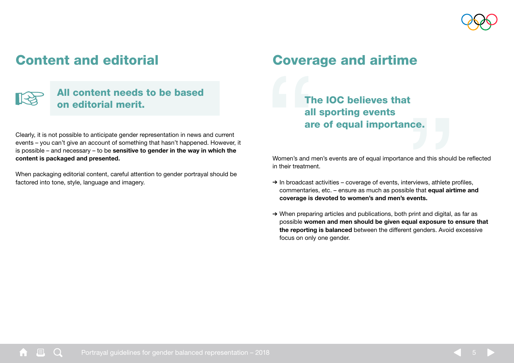

## <span id="page-4-0"></span>Content and editorial



### All content needs to be based on editorial merit.

Clearly, it is not possible to anticipate gender representation in news and current events – you can't give an account of something that hasn't happened. However, it is possible – and necessary – to be sensitive to gender in the way in which the content is packaged and presented.

When packaging editorial content, careful attention to gender portrayal should be factored into tone, style, language and imagery.

### <span id="page-4-1"></span>Coverage and airtime

The IOC believes that all sporting events are of equal importance.

Women's and men's events are of equal importance and this should be reflected in their treatment.

- $\rightarrow$  In broadcast activities coverage of events, interviews, athlete profiles, commentaries, etc. – ensure as much as possible that equal airtime and coverage is devoted to women's and men's events.
- ➔ When preparing articles and publications, both print and digital, as far as possible women and men should be given equal exposure to ensure that the reporting is balanced between the different genders. Avoid excessive focus on only one gender.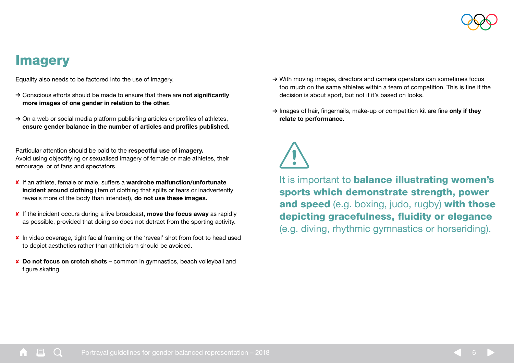

### <span id="page-5-0"></span>**Imagery**

Equality also needs to be factored into the use of imagery.

- → Conscious efforts should be made to ensure that there are not significantly more images of one gender in relation to the other.
- $\rightarrow$  On a web or social media platform publishing articles or profiles of athletes, ensure gender balance in the number of articles and profiles published.

Particular attention should be paid to the respectful use of imagery. Avoid using objectifying or sexualised imagery of female or male athletes, their entourage, or of fans and spectators.

- ✘ If an athlete, female or male, suffers a wardrobe malfunction/unfortunate incident around clothing (item of clothing that splits or tears or inadvertently reveals more of the body than intended), do not use these images.
- ✘ If the incident occurs during a live broadcast, move the focus away as rapidly as possible, provided that doing so does not detract from the sporting activity.
- ✘ In video coverage, tight facial framing or the 'reveal' shot from foot to head used to depict aesthetics rather than athleticism should be avoided.
- ✘ Do not focus on crotch shots common in gymnastics, beach volleyball and figure skating.
- ➔ With moving images, directors and camera operators can sometimes focus too much on the same athletes within a team of competition. This is fine if the decision is about sport, but not if it's based on looks.
- → Images of hair, fingernails, make-up or competition kit are fine only if they relate to performance.



It is important to **balance illustrating women's** sports which demonstrate strength, power and speed (e.g. boxing, judo, rugby) with those depicting gracefulness, fluidity or elegance (e.g. diving, rhythmic gymnastics or horseriding).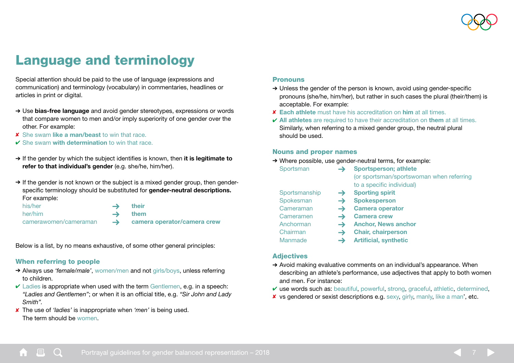

## <span id="page-6-0"></span>Language and terminology

Special attention should be paid to the use of language (expressions and communication) and terminology (vocabulary) in commentaries, headlines or articles in print or digital.

- → Use bias-free language and avoid gender stereotypes, expressions or words that compare women to men and/or imply superiority of one gender over the other. For example:
- ✘ She swam like a man/beast to win that race.
- $\vee$  She swam with determination to win that race.
- → If the gender by which the subject identifies is known, then it is legitimate to refer to that individual's gender (e.g. she/he, him/her).
- → If the gender is not known or the subject is a mixed gender group, then genderspecific terminology should be substituted for gender-neutral descriptions. For example:

| his/her               | $\rightarrow$ $\rightarrow$ | their                                     |
|-----------------------|-----------------------------|-------------------------------------------|
| her/him               |                             | $\rightarrow$ them                        |
| camerawomen/cameraman |                             | $\rightarrow$ camera operator/camera crew |

Below is a list, by no means exhaustive, of some other general principles:

#### When referring to people

- ➔ Always use *'female/male'*, women/men and not girls/boys, unless referring to children.
- $\vee$  Ladies is appropriate when used with the term Gentlemen, e.g. in a speech: *"Ladies and Gentlemen"*; or when it is an official title, e.g. *"Sir John and Lady Smith".*
- ✘ The use of *'ladies'* is inappropriate when *'men'* is being used. The term should be women.

#### **Pronouns**

- $\rightarrow$  Unless the gender of the person is known, avoid using gender-specific pronouns (she/he, him/her), but rather in such cases the plural (their/them) is acceptable. For example:
- ✘ Each athlete must have his accreditation on him at all times.
- $\vee$  All athletes are required to have their accreditation on them at all times. Similarly, when referring to a mixed gender group, the neutral plural should be used.

#### Nouns and proper names

➔ Where possible, use gender-neutral terms, for example:

| Sportsman |               | <b>Sportsperson; athlete</b>             |
|-----------|---------------|------------------------------------------|
|           |               | (or sportsman/sportswoman when referring |
|           |               | to a specific individual)                |
|           | Sportsmanship | <b>Sporting spirit</b>                   |
|           | Spokesman     | <b>Spokesperson</b>                      |
|           | Cameraman     | <b>Camera operator</b>                   |
|           | Cameramen     | <b>Camera crew</b>                       |
|           | Anchorman     | <b>Anchor, News anchor</b>               |
|           |               |                                          |

- Chairman **Solution Chair, chairperson**
- Manmade  $\rightarrow$  Artificial, synthetic

#### **Adjectives**

- ➔ Avoid making evaluative comments on an individual's appearance. When describing an athlete's performance, use adjectives that apply to both women and men. For instance:
- $\vee$  use words such as: beautiful, powerful, strong, graceful, athletic, determined,
- ✘ vs gendered or sexist descriptions e.g. sexy, girly, manly, like a man', etc.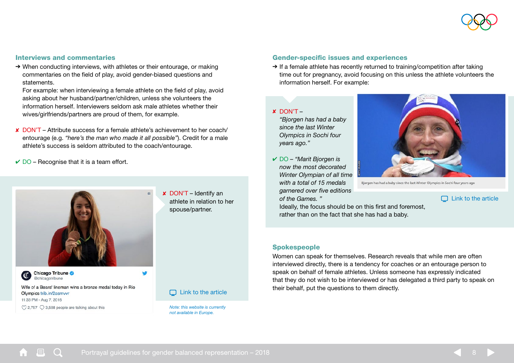

#### Interviews and commentaries

→ When conducting interviews, with athletes or their entourage, or making commentaries on the field of play, avoid gender-biased questions and statements.

For example: when interviewing a female athlete on the field of play, avoid asking about her husband/partner/children, unless she volunteers the information herself. Interviewers seldom ask male athletes whether their wives/girlfriends/partners are proud of them, for example.

- ✘ DON'T Attribute success for a female athlete's achievement to her coach/ entourage (e.g. *"here's the man who made it all possible"*). Credit for a male athlete's success is seldom attributed to the coach/entourage.
- $\vee$  DO Recognise that it is a team effort.



✘ DON'T – Identify an athlete in relation to her spouse/partner.

Chicago Tribune @chicagotribune

Wife of a Bears' lineman wins a bronze medal today in Rio Olympics trib.in/2asmvvr 11:33 PM - Aug 7, 2016  $\heartsuit$  2.757  $\heartsuit$  3.588 people are talking about this

 $\Box$  [Link to the article](http://trib.in/2asmvvr )

*Note: this website is currently not available in Europe.*

#### Gender-specific issues and experiences

→ If a female athlete has recently returned to training/competition after taking time out for pregnancy, avoid focusing on this unless the athlete volunteers the information herself. For example:

#### ✘ DON'T –

*"Bjorgen has had a baby since the last Winter Olympics in Sochi four years ago."*

✔ DO – *"Marit Bjorgen is now the most decorated Winter Olympian of all time with a total of 15 medals garnered over five editions of the Games. "*



Biorgen has had a baby since the last Winter Olympics in Sochi four years ago

 $\Box$  [Link to the article](http://www.bbc.com/sport/winter-olympics/43017297)

Ideally, the focus should be on this first and foremost. rather than on the fact that she has had a baby.

#### **Spokespeople**

Women can speak for themselves. Research reveals that while men are often interviewed directly, there is a tendency for coaches or an entourage person to speak on behalf of female athletes. Unless someone has expressly indicated that they do not wish to be interviewed or has delegated a third party to speak on their behalf, put the questions to them directly.